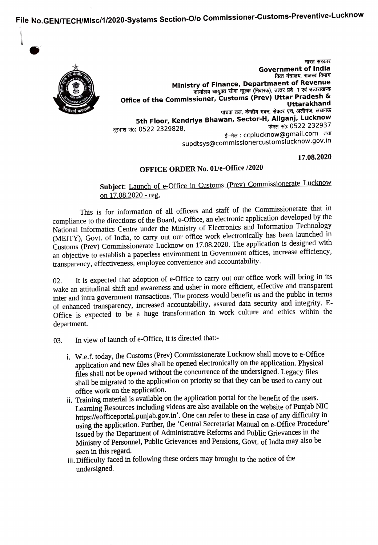File No.GENTECH/Misc/1/2020-Systems Section-Olo Commissioner-Customs-Preventive-Lucknow



भारत सरकार Government of India<br><sub>वित्त</sub> मंत्रालय, राजस्व विमाग Ministry of Finance, Departmaent of Revenue<br>कार्यालय आयुक्त सीमा भुल्क (निवारक), उत्तर प्रदेा एवं उत्तराखण्ड Office of the Commissioner, Customs (Prev) Uttar Pradesh & – – – – – – – – – Uttarakhand<br>पांचवा तल, केन्द्रीय मवन, सेक्टर एच, अलीगंज, लखनऊ 5th Floor, Kendriya Bhawan, Sector-H, Aliganj, Lucknow फैक्स सं0: 0522 232937 दुरभाश सं0: 0522 2329828, ई–मेल: ccplucknow@gmail.com तथा supdtsys@commissionercustomslucknow.gov.in

17.08.2020

## OFFICE ORDER No. 01/e-Office /2020

## Subject: Launch of e-Office in Customs (Prev) Commissionerate Lucknow on 17.08.2020 - reg.

This is for information of all officers and staff of the Commissionerate that in compliance to the directions of the Board, e-Office, an electronic application developed by the National Informatics Centre under the Ministry of Electronics and Information Technology (MEITY), Govt. of India, to carry out our office work electronically has been launched in Customs (Prev) Commissionerate Lucknow on 17.08.2020. The application is designed with an objective to establish a paperless environment in Government offices, increase efficiency, transparency, effectiveness, employee convenience and accountability.

It is expected that adoption of e-Office to carry out our office work will bring in its wake an attitudinal shift and awareness and usher in more efficient, effective and transparent inter and intra government transactions. The process would benefit us and the public in termns of enhanced transparency, increased accountability, assured data security and integrity. E-Office is expected to be a huge transformation in work culture and ethics within the department. 02.

- 03. In view of launch of e-Office, it is directed that:
	- i. W.e.f. today, the Customs (Prev) Commissionerate Lucknow shall move to e-Office application and new files shall be opened electronically on the application. Physical files shall not be opened without the concurrence of the undersigned. Legacy files shall be migrated to the application on priority so that they can be used to carry out office work on the application.
	- ii. Training material is available on the application portal for the benefit of the users. Learning Resources including videos are also available on the website of Punjab NIC https://eofficeportal.punjab.gov.in'. One can refer to these in case of any difficulty in using the application. Further, the 'Central Secretariat Manual on e-Office Procedure' issued by the Department of Administrative Reforms and Public Grievances in the Ministry of Personnel, Public Grievances and Pensions, Govt. of India may also be seen in this regard.
	- ii. Difficulty faced in following these orders may brought to the notice of the undersigned.